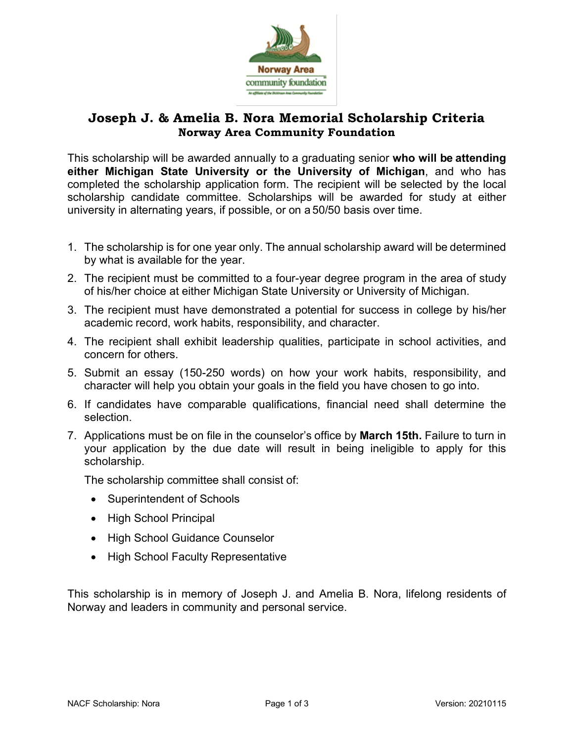

## **Joseph J. & Amelia B. Nora Memorial Scholarship Criteria Norway Area Community Foundation**

This scholarship will be awarded annually to a graduating senior **who will be attending either Michigan State University or the University of Michigan**, and who has completed the scholarship application form. The recipient will be selected by the local scholarship candidate committee. Scholarships will be awarded for study at either university in alternating years, if possible, or on a 50/50 basis over time.

- 1. The scholarship is for one year only. The annual scholarship award will be determined by what is available for the year.
- 2. The recipient must be committed to a four-year degree program in the area of study of his/her choice at either Michigan State University or University of Michigan.
- 3. The recipient must have demonstrated a potential for success in college by his/her academic record, work habits, responsibility, and character.
- 4. The recipient shall exhibit leadership qualities, participate in school activities, and concern for others.
- 5. Submit an essay (150-250 words) on how your work habits, responsibility, and character will help you obtain your goals in the field you have chosen to go into.
- 6. If candidates have comparable qualifications, financial need shall determine the selection.
- 7. Applications must be on file in the counselor's office by **March 15th.** Failure to turn in your application by the due date will result in being ineligible to apply for this scholarship.

The scholarship committee shall consist of:

- Superintendent of Schools
- High School Principal
- High School Guidance Counselor
- High School Faculty Representative

This scholarship is in memory of Joseph J. and Amelia B. Nora, lifelong residents of Norway and leaders in community and personal service.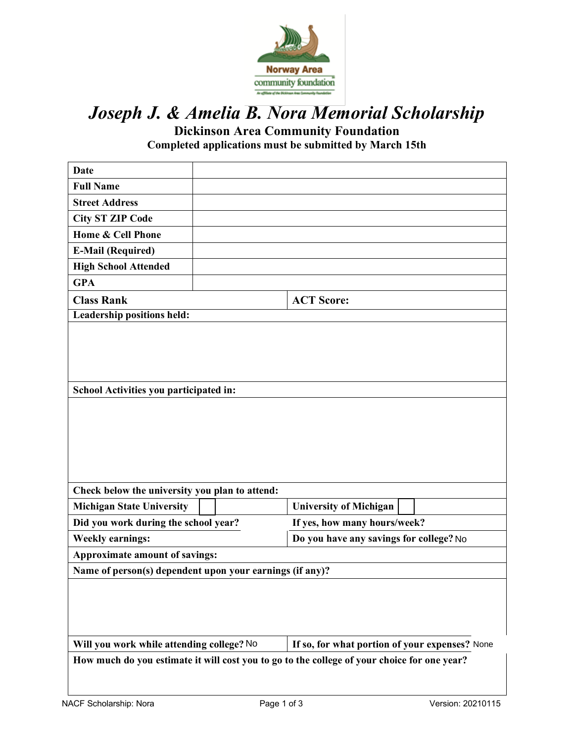

## *Joseph J. & Amelia B. Nora Memorial Scholarship*

**Dickinson Area Community Foundation**

**Completed applications must be submitted by March 15th**

| Date                                                                                        |  |                                         |  |  |  |
|---------------------------------------------------------------------------------------------|--|-----------------------------------------|--|--|--|
| <b>Full Name</b>                                                                            |  |                                         |  |  |  |
| <b>Street Address</b>                                                                       |  |                                         |  |  |  |
| <b>City ST ZIP Code</b>                                                                     |  |                                         |  |  |  |
| Home & Cell Phone                                                                           |  |                                         |  |  |  |
| <b>E-Mail (Required)</b>                                                                    |  |                                         |  |  |  |
| <b>High School Attended</b>                                                                 |  |                                         |  |  |  |
| <b>GPA</b>                                                                                  |  |                                         |  |  |  |
| <b>Class Rank</b>                                                                           |  | <b>ACT Score:</b>                       |  |  |  |
| <b>Leadership positions held:</b>                                                           |  |                                         |  |  |  |
|                                                                                             |  |                                         |  |  |  |
|                                                                                             |  |                                         |  |  |  |
|                                                                                             |  |                                         |  |  |  |
|                                                                                             |  |                                         |  |  |  |
| School Activities you participated in:                                                      |  |                                         |  |  |  |
|                                                                                             |  |                                         |  |  |  |
|                                                                                             |  |                                         |  |  |  |
|                                                                                             |  |                                         |  |  |  |
|                                                                                             |  |                                         |  |  |  |
|                                                                                             |  |                                         |  |  |  |
| Check below the university you plan to attend:                                              |  |                                         |  |  |  |
| <b>Michigan State University</b>                                                            |  | <b>University of Michigan</b>           |  |  |  |
| Did you work during the school year?                                                        |  | If yes, how many hours/week?            |  |  |  |
| <b>Weekly earnings:</b>                                                                     |  | Do you have any savings for college? No |  |  |  |
| Approximate amount of savings:                                                              |  |                                         |  |  |  |
| Name of person(s) dependent upon your earnings (if any)?                                    |  |                                         |  |  |  |
|                                                                                             |  |                                         |  |  |  |
|                                                                                             |  |                                         |  |  |  |
|                                                                                             |  |                                         |  |  |  |
|                                                                                             |  |                                         |  |  |  |
| If so, for what portion of your expenses? None<br>Will you work while attending college? No |  |                                         |  |  |  |
| How much do you estimate it will cost you to go to the college of your choice for one year? |  |                                         |  |  |  |
|                                                                                             |  |                                         |  |  |  |
|                                                                                             |  |                                         |  |  |  |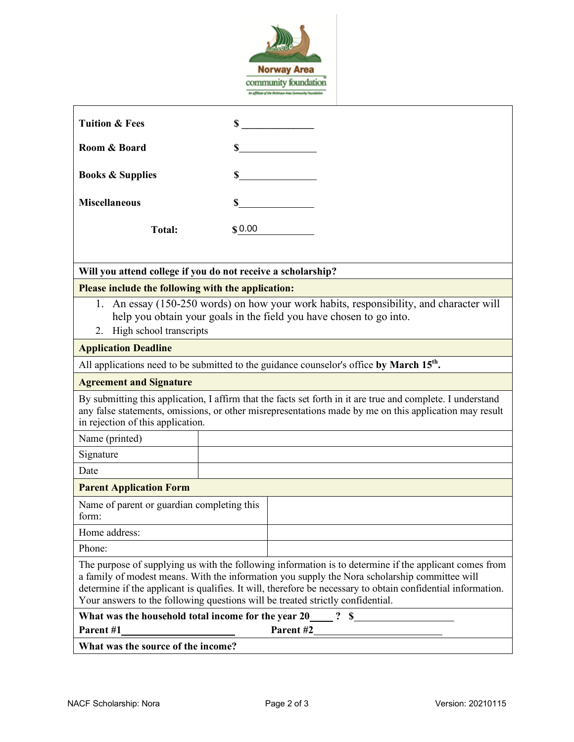

| <b>Tuition &amp; Fees</b>                                                                                                                                                                                                                                                                                                                                                                                 |        | $\sim$ |  |  |
|-----------------------------------------------------------------------------------------------------------------------------------------------------------------------------------------------------------------------------------------------------------------------------------------------------------------------------------------------------------------------------------------------------------|--------|--------|--|--|
| Room & Board                                                                                                                                                                                                                                                                                                                                                                                              | \$     |        |  |  |
|                                                                                                                                                                                                                                                                                                                                                                                                           |        |        |  |  |
| <b>Books &amp; Supplies</b>                                                                                                                                                                                                                                                                                                                                                                               | \$     |        |  |  |
| <b>Miscellaneous</b>                                                                                                                                                                                                                                                                                                                                                                                      |        | $\sim$ |  |  |
| <b>Total:</b>                                                                                                                                                                                                                                                                                                                                                                                             | \$0.00 |        |  |  |
| Will you attend college if you do not receive a scholarship?                                                                                                                                                                                                                                                                                                                                              |        |        |  |  |
| Please include the following with the application:                                                                                                                                                                                                                                                                                                                                                        |        |        |  |  |
| 1. An essay (150-250 words) on how your work habits, responsibility, and character will<br>help you obtain your goals in the field you have chosen to go into.<br>High school transcripts<br>2.                                                                                                                                                                                                           |        |        |  |  |
| <b>Application Deadline</b>                                                                                                                                                                                                                                                                                                                                                                               |        |        |  |  |
| All applications need to be submitted to the guidance counselor's office by March 15 <sup>th</sup> .                                                                                                                                                                                                                                                                                                      |        |        |  |  |
| <b>Agreement and Signature</b>                                                                                                                                                                                                                                                                                                                                                                            |        |        |  |  |
| By submitting this application, I affirm that the facts set forth in it are true and complete. I understand<br>any false statements, omissions, or other misrepresentations made by me on this application may result<br>in rejection of this application.                                                                                                                                                |        |        |  |  |
| Name (printed)                                                                                                                                                                                                                                                                                                                                                                                            |        |        |  |  |
| Signature                                                                                                                                                                                                                                                                                                                                                                                                 |        |        |  |  |
| Date                                                                                                                                                                                                                                                                                                                                                                                                      |        |        |  |  |
| <b>Parent Application Form</b>                                                                                                                                                                                                                                                                                                                                                                            |        |        |  |  |
| Name of parent or guardian completing this<br>form:                                                                                                                                                                                                                                                                                                                                                       |        |        |  |  |
| Home address:                                                                                                                                                                                                                                                                                                                                                                                             |        |        |  |  |
| Phone:                                                                                                                                                                                                                                                                                                                                                                                                    |        |        |  |  |
| The purpose of supplying us with the following information is to determine if the applicant comes from<br>a family of modest means. With the information you supply the Nora scholarship committee will<br>determine if the applicant is qualifies. It will, therefore be necessary to obtain confidential information.<br>Your answers to the following questions will be treated strictly confidential. |        |        |  |  |
| What was the household total income for the year $20 \underline{\hspace{1cm}} 2 \quad$ \$<br>Parent #2<br>Parent #1                                                                                                                                                                                                                                                                                       |        |        |  |  |
| What was the source of the income?                                                                                                                                                                                                                                                                                                                                                                        |        |        |  |  |